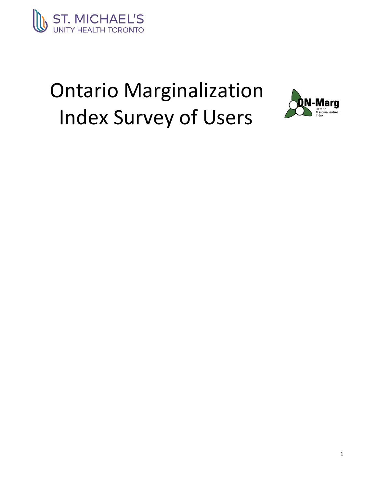

# Ontario Marginalization Index Survey of Users

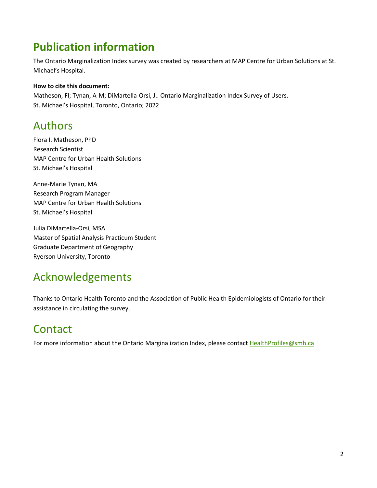# **Publication information**

The Ontario Marginalization Index survey was created by researchers at MAP Centre for Urban Solutions at St. Michael's Hospital.

### **How to cite this document:**

Matheson, FI; Tynan, A-M; DiMartella-Orsi, J.. Ontario Marginalization Index Survey of Users. St. Michael's Hospital, Toronto, Ontario; 2022

### Authors

Flora I. Matheson, PhD Research Scientist MAP Centre for Urban Health Solutions St. Michael's Hospital

Anne-Marie Tynan, MA Research Program Manager MAP Centre for Urban Health Solutions St. Michael's Hospital

Julia DiMartella-Orsi, MSA Master of Spatial Analysis Practicum Student Graduate Department of Geography Ryerson University, Toronto

### Acknowledgements

Thanks to Ontario Health Toronto and the Association of Public Health Epidemiologists of Ontario for their assistance in circulating the survey.

# **Contact**

For more information about the Ontario Marginalization Index, please contact HealthProfiles@smh.ca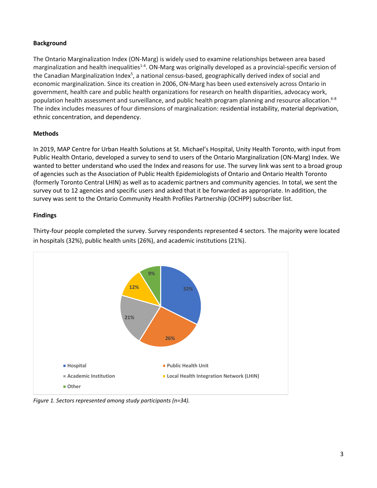### **Background**

The Ontario Marginalization Index (ON-Marg) is widely used to examine relationships between area based marginalization and health inequalities<sup>1-4</sup>. ON-Marg was originally developed as a provincial-specific version of the Canadian Marginalization Index<sup>5</sup>, a national census-based, geographically derived index of social and economic marginalization. Since its creation in 2006, ON-Marg has been used extensively across Ontario in government, health care and public health organizations for research on health disparities, advocacy work, population health assessment and surveillance, and public health program planning and resource allocation.<sup>6-8</sup> The index includes measures of four dimensions of marginalization: residential instability, material deprivation, ethnic concentration, and dependency.

### **Methods**

In 2019, MAP Centre for Urban Health Solutions at St. Michael's Hospital, Unity Health Toronto, with input from Public Health Ontario, developed a survey to send to users of the Ontario Marginalization (ON-Marg) Index. We wanted to better understand who used the Index and reasons for use. The survey link was sent to a broad group of agencies such as the Association of Public Health Epidemiologists of Ontario and Ontario Health Toronto (formerly Toronto Central LHIN) as well as to academic partners and community agencies. In total, we sent the survey out to 12 agencies and specific users and asked that it be forwarded as appropriate. In addition, the survey was sent to the Ontario Community Health Profiles Partnership (OCHPP) subscriber list.

#### **Findings**



Thirty-four people completed the survey. Survey respondents represented 4 sectors. The majority were located in hospitals (32%), public health units (26%), and academic institutions (21%).

*Figure 1. Sectors represented among study participants (n=34).*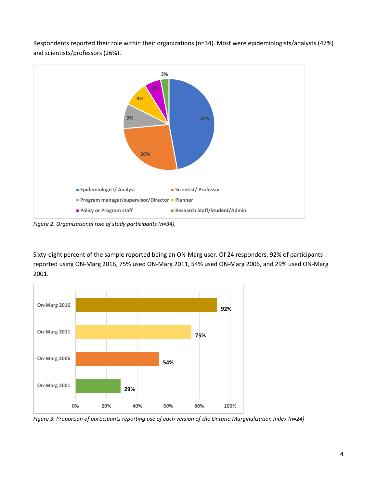

Respondents reported their role within their organizations (n=34). Most were epidemiologists/analysts (47%) and scientists/professors (26%).

*Figure 2. Organizational role of study participants (n=34).*

Sixty-eight percent of the sample reported being an ON-Marg user. Of 24 responders, 92% of participants reported using ON-Marg 2016, 75% used ON-Marg 2011, 54% used ON-Marg 2006, and 29% used ON-Marg 2001.



*Figure 3. Proportion of participants reporting use of each version of the Ontario Marginalization Index (n=24)*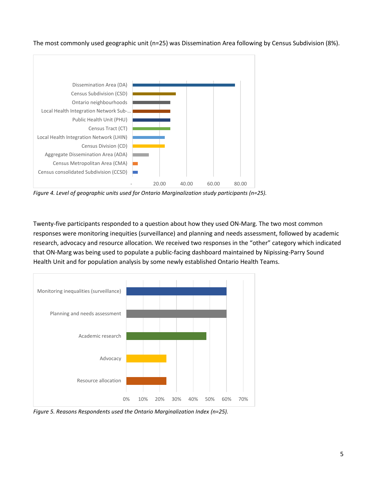The most commonly used geographic unit (n=25) was Dissemination Area following by Census Subdivision (8%).



*Figure 4. Level of geographic units used for Ontario Marginalization study participants (n=25).*

Twenty-five participants responded to a question about how they used ON-Marg. The two most common responses were monitoring inequities (surveillance) and planning and needs assessment, followed by academic research, advocacy and resource allocation. We received two responses in the "other" category which indicated that ON-Marg was being used to populate a public-facing dashboard maintained by Nipissing-Parry Sound Health Unit and for population analysis by some newly established Ontario Health Teams.



*Figure 5. Reasons Respondents used the Ontario Marginalization Index (n=25).*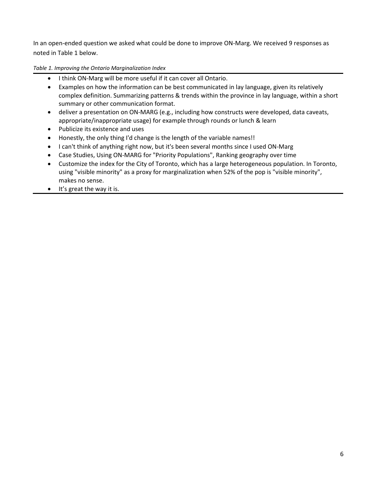In an open-ended question we asked what could be done to improve ON-Marg. We received 9 responses as noted in Table 1 below.

*Table 1. Improving the Ontario Marginalization Index*

- I think ON-Marg will be more useful if it can cover all Ontario.
- Examples on how the information can be best communicated in lay language, given its relatively complex definition. Summarizing patterns & trends within the province in lay language, within a short summary or other communication format.
- deliver a presentation on ON-MARG (e.g., including how constructs were developed, data caveats, appropriate/inappropriate usage) for example through rounds or lunch & learn
- Publicize its existence and uses
- Honestly, the only thing I'd change is the length of the variable names!!
- I can't think of anything right now, but it's been several months since I used ON-Marg
- Case Studies, Using ON-MARG for "Priority Populations", Ranking geography over time
- Customize the index for the City of Toronto, which has a large heterogeneous population. In Toronto, using "visible minority" as a proxy for marginalization when 52% of the pop is "visible minority", makes no sense.
- $\bullet$  It's great the way it is.